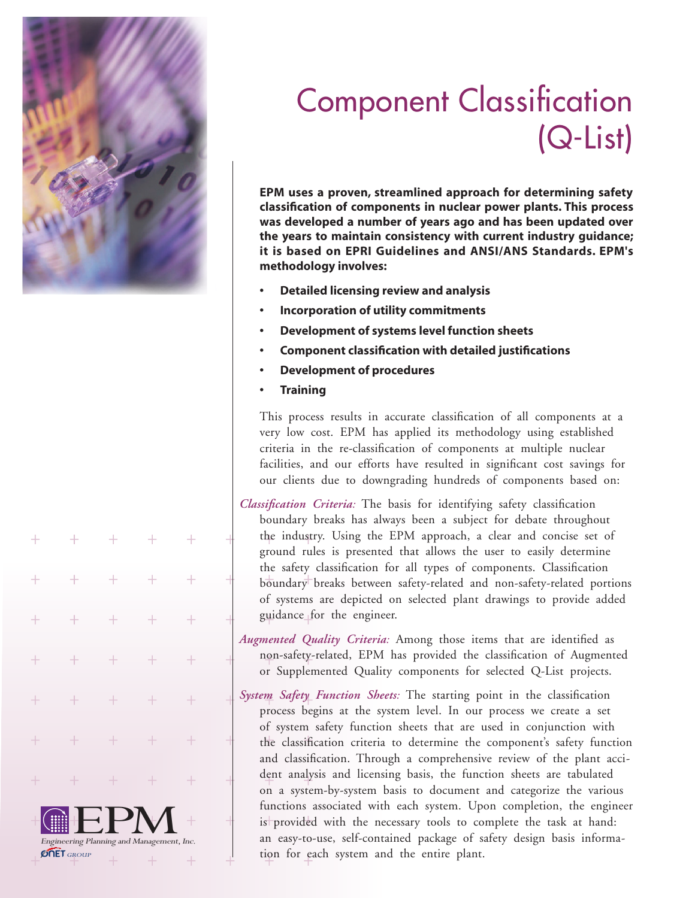

 $\overline{\bigoplus_{\text{Engineering Planning}}}\prod_{\text{Planning and Management, Inc.}}$ 

 $^{+}$ 

 $\overline{+}$ 

 $+$ 

**ONET** GROUP

## Component Classification (Q-List)

**EPM uses a proven, streamlined approach for determining safety classification of components in nuclear power plants. This process was developed a number of years ago and has been updated over the years to maintain consistency with current industry guidance; it is based on EPRI Guidelines and ANSI/ANS Standards. EPM's methodology involves:**

- **• Detailed licensing review and analysis**
- **• Incorporation of utility commitments**
- **• Development of systems level function sheets**
- **• Component classification with detailed justifications**
- **Development of procedures**
- **• Training**

This process results in accurate classification of all components at a very low cost. EPM has applied its methodology using established criteria in the re-classification of components at multiple nuclear facilities, and our efforts have resulted in significant cost savings for our clients due to downgrading hundreds of components based on:

*Classification Criteria:* The basis for identifying safety classification boundary breaks has always been a subject for debate throughout the industry. Using the EPM approach, a clear and concise set of ground rules is presented that allows the user to easily determine the safety classification for all types of components. Classification boundary breaks between safety-related and non-safety-related portions of systems are depicted on selected plant drawings to provide added guidance for the engineer.

*Augmented Quality Criteria:* Among those items that are identified as non-safety-related, EPM has provided the classification of Augmented or Supplemented Quality components for selected Q-List projects.

*System Safety Function Sheets:* The starting point in the classification process begins at the system level. In our process we create a set of system safety function sheets that are used in conjunction with the classification criteria to determine the component's safety function and classification. Through a comprehensive review of the plant accident analysis and licensing basis, the function sheets are tabulated on a system-by-system basis to document and categorize the various functions associated with each system. Upon completion, the engineer is provided with the necessary tools to complete the task at hand: an easy-to-use, self-contained package of safety design basis information for each system and the entire plant.